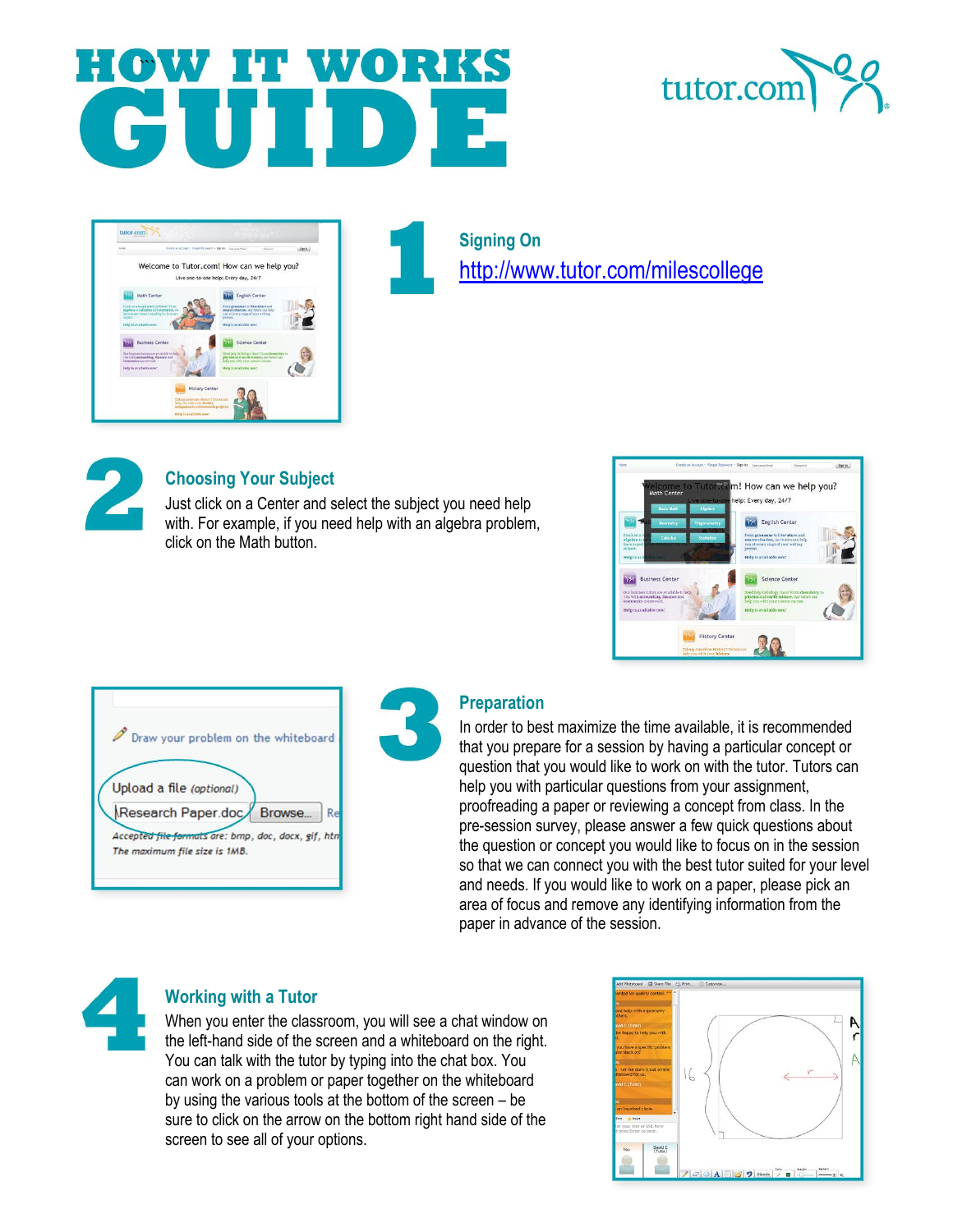## **HOW IT WORKS**





**Signing On**  <http://www.tutor.com/milescollege>



## **Choosing Your Subject**

Just click on a Center and select the subject you need help with. For example, if you need help with an algebra problem, click on the Math button.



Draw your problem on the whiteboard Upload a file (optional) Research Paper.doc Browse...  $R$ Accepted file formats are: bmp, doc, docx, gif, htr The maximum file size is 1MB.



## **Preparation**

In order to best maximize the time available, it is recommended that you prepare for a session by having a particular concept or question that you would like to work on with the tutor. Tutors can help you with particular questions from your assignment, proofreading a paper or reviewing a concept from class. In the pre-session survey, please answer a few quick questions about the question or concept you would like to focus on in the session so that we can connect you with the best tutor suited for your level and needs. If you would like to work on a paper, please pick an area of focus and remove any identifying information from the paper in advance of the session.



## **Working with a Tutor**

When you enter the classroom, you will see a chat window on the left-hand side of the screen and a whiteboard on the right. You can talk with the tutor by typing into the chat box. You can work on a problem or paper together on the whiteboard by using the various tools at the bottom of the screen – be sure to click on the arrow on the bottom right hand side of the screen to see all of your options.